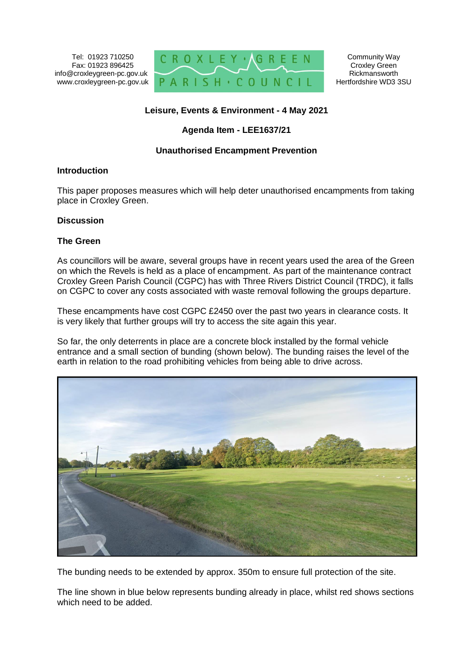Tel: 01923 710250 Fax: 01923 896425 info@croxleygreen-pc.gov.uk www.croxleygreen-pc.gov.uk



Community Way Croxley Green Rickmansworth Hertfordshire WD3 3SU

# **Leisure, Events & Environment - 4 May 2021**

## **Agenda Item - LEE1637/21**

#### **Unauthorised Encampment Prevention**

#### **Introduction**

This paper proposes measures which will help deter unauthorised encampments from taking place in Croxley Green.

#### **Discussion**

## **The Green**

As councillors will be aware, several groups have in recent years used the area of the Green on which the Revels is held as a place of encampment. As part of the maintenance contract Croxley Green Parish Council (CGPC) has with Three Rivers District Council (TRDC), it falls on CGPC to cover any costs associated with waste removal following the groups departure.

These encampments have cost CGPC £2450 over the past two years in clearance costs. It is very likely that further groups will try to access the site again this year.

So far, the only deterrents in place are a concrete block installed by the formal vehicle entrance and a small section of bunding (shown below). The bunding raises the level of the earth in relation to the road prohibiting vehicles from being able to drive across.



The bunding needs to be extended by approx. 350m to ensure full protection of the site.

The line shown in blue below represents bunding already in place, whilst red shows sections which need to be added.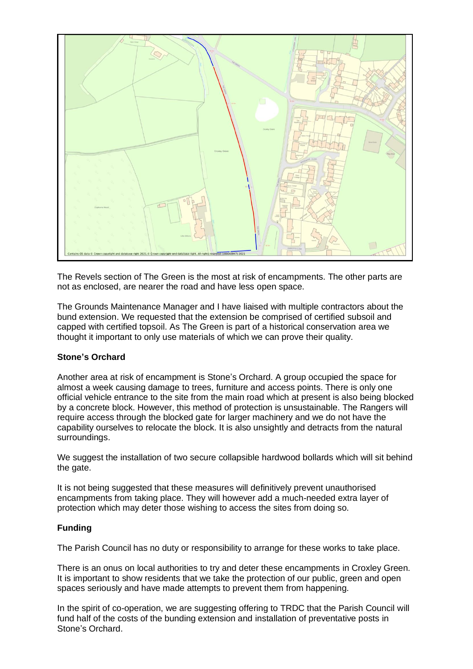

The Revels section of The Green is the most at risk of encampments. The other parts are not as enclosed, are nearer the road and have less open space.

The Grounds Maintenance Manager and I have liaised with multiple contractors about the bund extension. We requested that the extension be comprised of certified subsoil and capped with certified topsoil. As The Green is part of a historical conservation area we thought it important to only use materials of which we can prove their quality.

## **Stone's Orchard**

Another area at risk of encampment is Stone's Orchard. A group occupied the space for almost a week causing damage to trees, furniture and access points. There is only one official vehicle entrance to the site from the main road which at present is also being blocked by a concrete block. However, this method of protection is unsustainable. The Rangers will require access through the blocked gate for larger machinery and we do not have the capability ourselves to relocate the block. It is also unsightly and detracts from the natural surroundings.

We suggest the installation of two secure collapsible hardwood bollards which will sit behind the gate.

It is not being suggested that these measures will definitively prevent unauthorised encampments from taking place. They will however add a much-needed extra layer of protection which may deter those wishing to access the sites from doing so.

#### **Funding**

The Parish Council has no duty or responsibility to arrange for these works to take place.

There is an onus on local authorities to try and deter these encampments in Croxley Green. It is important to show residents that we take the protection of our public, green and open spaces seriously and have made attempts to prevent them from happening.

In the spirit of co-operation, we are suggesting offering to TRDC that the Parish Council will fund half of the costs of the bunding extension and installation of preventative posts in Stone's Orchard.